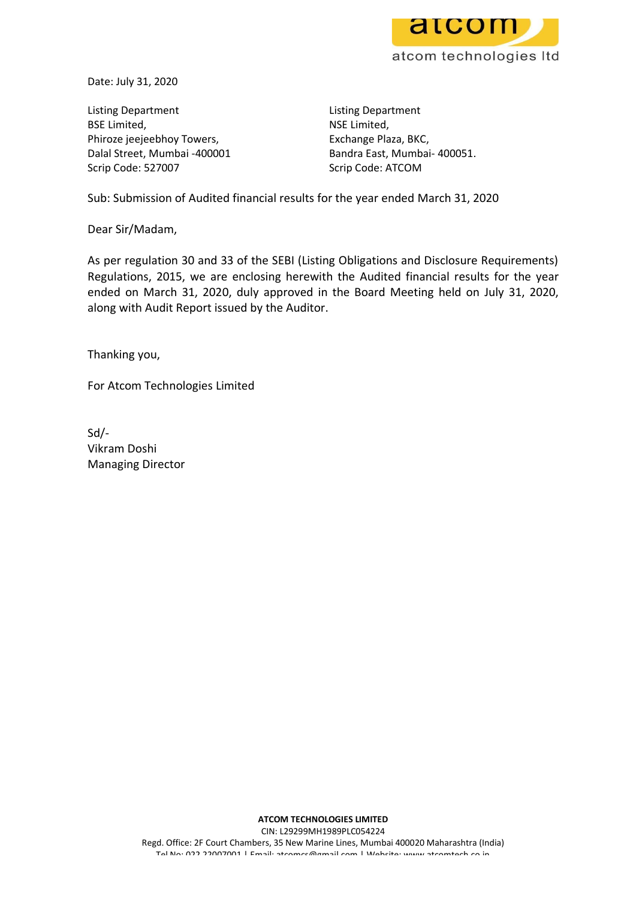

Date: July 31, 2020

Listing Department BSE Limited, Phiroze jeejeebhoy Towers, Dalal Street, Mumbai -400001 Scrip Code: 527007

Listing Department NSE Limited, Exchange Plaza, BKC, Bandra East, Mumbai- 400051. Scrip Code: ATCOM

Sub: Submission of Audited financial results for the year ended March 31, 2020

Dear Sir/Madam,

As per regulation 30 and 33 of the SEBI (Listing Obligations and Disclosure Requirements) Regulations, 2015, we are enclosing herewith the Audited financial results for the year ended on March 31, 2020, duly approved in the Board Meeting held on July 31, 2020, along with Audit Report issued by the Auditor.

Thanking you,

For Atcom Technologies Limited

Sd/- Vikram Doshi Managing Director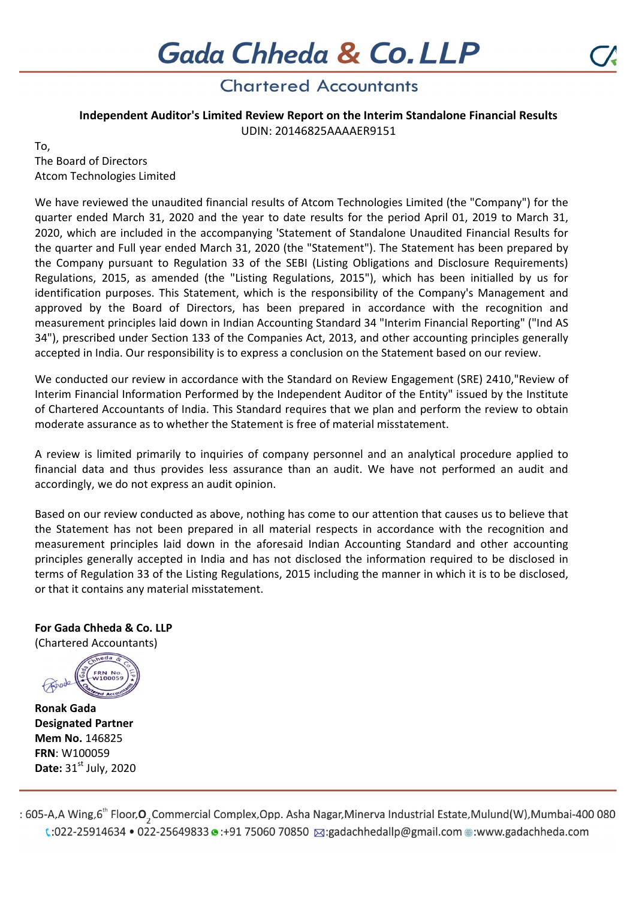### Chartered Accountants

#### **Independent Auditor's Limited Review Report on the Interim Standalone Financial Results**

UDIN: 20146825AAAAER9151

To, The Board of Directors Atcom Technologies Limited

We have reviewed the unaudited financial results of Atcom Technologies Limited (the "Company") for the quarter ended March 31, 2020 and the year to date results for the period April 01, 2019 to March 31, 2020, which are included in the accompanying 'Statement of Standalone Unaudited Financial Results for the quarter and Full year ended March 31, 2020 (the "Statement"). The Statement has been prepared by the Company pursuant to Regulation 33 of the SEBI (Listing Obligations and Disclosure Requirements) Regulations, 2015, as amended (the "Listing Regulations, 2015"), which has been initialled by us for identification purposes. This Statement, which is the responsibility of the Company's Management and approved by the Board of Directors, has been prepared in accordance with the recognition and measurement principles laid down in Indian Accounting Standard 34 "Interim Financial Reporting" ("Ind AS 34"), prescribed under Section 133 of the Companies Act, 2013, and other accounting principles generally accepted in India. Our responsibility is to express a conclusion on the Statement based on our review.

We conducted our review in accordance with the Standard on Review Engagement (SRE) 2410,"Review of Interim Financial Information Performed by the Independent Auditor of the Entity" issued by the Institute of Chartered Accountants of India. This Standard requires that we plan and perform the review to obtain moderate assurance as to whether the Statement is free of material misstatement.

A review is limited primarily to inquiries of company personnel and an analytical procedure applied to financial data and thus provides less assurance than an audit. We have not performed an audit and accordingly, we do not express an audit opinion.

Based on our review conducted as above, nothing has come to our attention that causes us to believe that the Statement has not been prepared in all material respects in accordance with the recognition and measurement principles laid down in the aforesaid Indian Accounting Standard and other accounting principles generally accepted in India and has not disclosed the information required to be disclosed in terms of Regulation 33 of the Listing Regulations, 2015 including the manner in which it is to be disclosed, or that it contains any material misstatement.

**For Gada Chheda & Co. LLP**  (Chartered Accountants)

**Ronak Gada Designated Partner Mem No.** 146825 **FRN**: W100059 **Date:** 31<sup>st</sup> July, 2020

: 605-A,A Wing,6<sup>th</sup> Floor, O<sub>2</sub> Commercial Complex, Opp. Asha Nagar, Minerva Industrial Estate, Mulund(W), Mumbai-400 080 022-25914634 • 022-25649833 · +91 75060 70850 a:gadachhedallp@gmail.com :www.gadachheda.com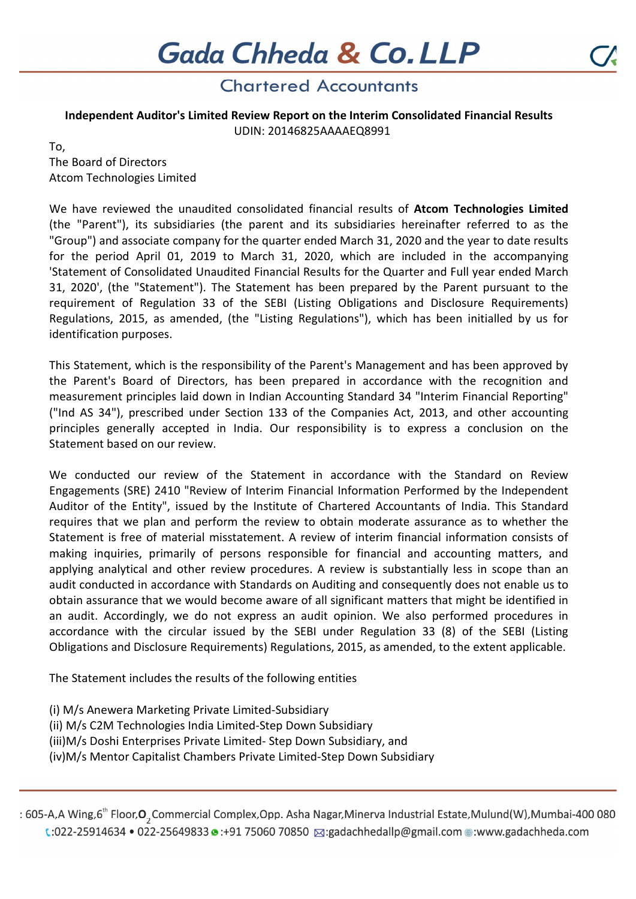### Chartered Accountants

**Independent Auditor's Limited Review Report on the Interim Consolidated Financial Results** 

UDIN: 20146825AAAAEQ8991

To, The Board of Directors Atcom Technologies Limited

We have reviewed the unaudited consolidated financial results of **Atcom Technologies Limited**  (the "Parent"), its subsidiaries (the parent and its subsidiaries hereinafter referred to as the "Group") and associate company for the quarter ended March 31, 2020 and the year to date results for the period April 01, 2019 to March 31, 2020, which are included in the accompanying 'Statement of Consolidated Unaudited Financial Results for the Quarter and Full year ended March 31, 2020', (the "Statement"). The Statement has been prepared by the Parent pursuant to the requirement of Regulation 33 of the SEBI (Listing Obligations and Disclosure Requirements) Regulations, 2015, as amended, (the "Listing Regulations"), which has been initialled by us for identification purposes.

This Statement, which is the responsibility of the Parent's Management and has been approved by the Parent's Board of Directors, has been prepared in accordance with the recognition and measurement principles laid down in Indian Accounting Standard 34 "Interim Financial Reporting" ("Ind AS 34"), prescribed under Section 133 of the Companies Act, 2013, and other accounting principles generally accepted in India. Our responsibility is to express a conclusion on the Statement based on our review.

We conducted our review of the Statement in accordance with the Standard on Review Engagements (SRE) 2410 "Review of Interim Financial Information Performed by the Independent Auditor of the Entity", issued by the Institute of Chartered Accountants of India. This Standard requires that we plan and perform the review to obtain moderate assurance as to whether the Statement is free of material misstatement. A review of interim financial information consists of making inquiries, primarily of persons responsible for financial and accounting matters, and applying analytical and other review procedures. A review is substantially less in scope than an audit conducted in accordance with Standards on Auditing and consequently does not enable us to obtain assurance that we would become aware of all significant matters that might be identified in an audit. Accordingly, we do not express an audit opinion. We also performed procedures in accordance with the circular issued by the SEBI under Regulation 33 (8) of the SEBI (Listing Obligations and Disclosure Requirements) Regulations, 2015, as amended, to the extent applicable.

The Statement includes the results of the following entities

(i) M/s Anewera Marketing Private Limited-Subsidiary (ii) M/s C2M Technologies India Limited-Step Down Subsidiary (iii)M/s Doshi Enterprises Private Limited- Step Down Subsidiary, and (iv)M/s Mentor Capitalist Chambers Private Limited-Step Down Subsidiary

: 605-A,A Wing,6<sup>th</sup> Floor, O<sub>2</sub>Commercial Complex, Opp. Asha Nagar, Minerva Industrial Estate, Mulund(W), Mumbai-400 080 022-25914634 • 022-25649833 · : +91 75060 70850 3:gadachhedallp@gmail.com .www.gadachheda.com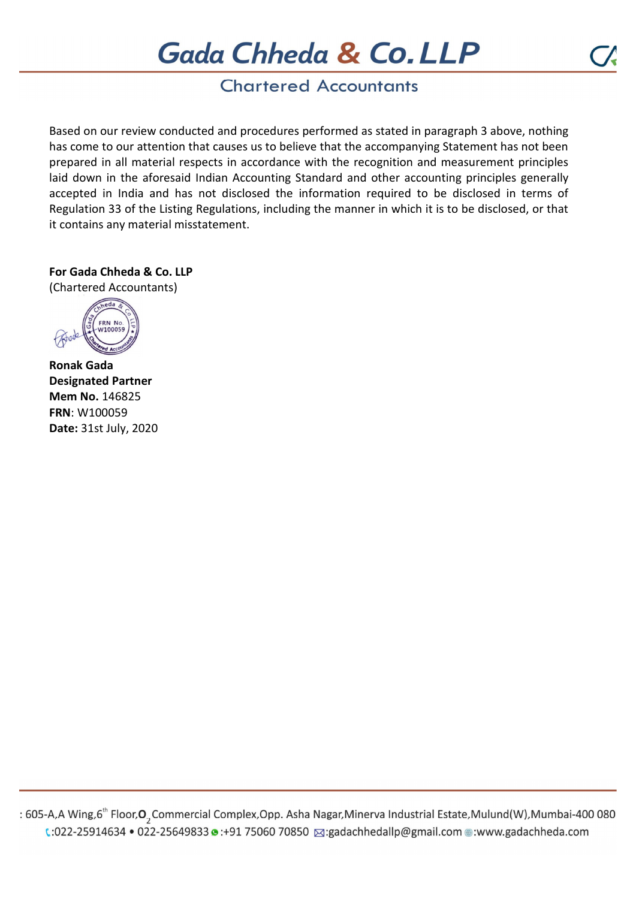## Gada Chheda & Co. LLP

### Chartered Accountants

Based on our review conducted and procedures performed as stated in paragraph 3 above, nothing has come to our attention that causes us to believe that the accompanying Statement has not been prepared in all material respects in accordance with the recognition and measurement principles laid down in the aforesaid Indian Accounting Standard and other accounting principles generally accepted in India and has not disclosed the information required to be disclosed in terms of Regulation 33 of the Listing Regulations, including the manner in which it is to be disclosed, or that it contains any material misstatement.

**For Gada Chheda & Co. LLP**  (Chartered Accountants)



**Ronak Gada Designated Partner Mem No.** 146825 **FRN**: W100059 **Date:** 31st July, 2020

: 605-A,A Wing,6<sup>th</sup> Floor, O<sub>2</sub> Commercial Complex, Opp. Asha Nagar, Minerva Industrial Estate, Mulund(W), Mumbai-400 080 022-25914634 • 022-25649833 • : +91 75060 70850 3:gadachhedallp@gmail.com • :www.gadachheda.com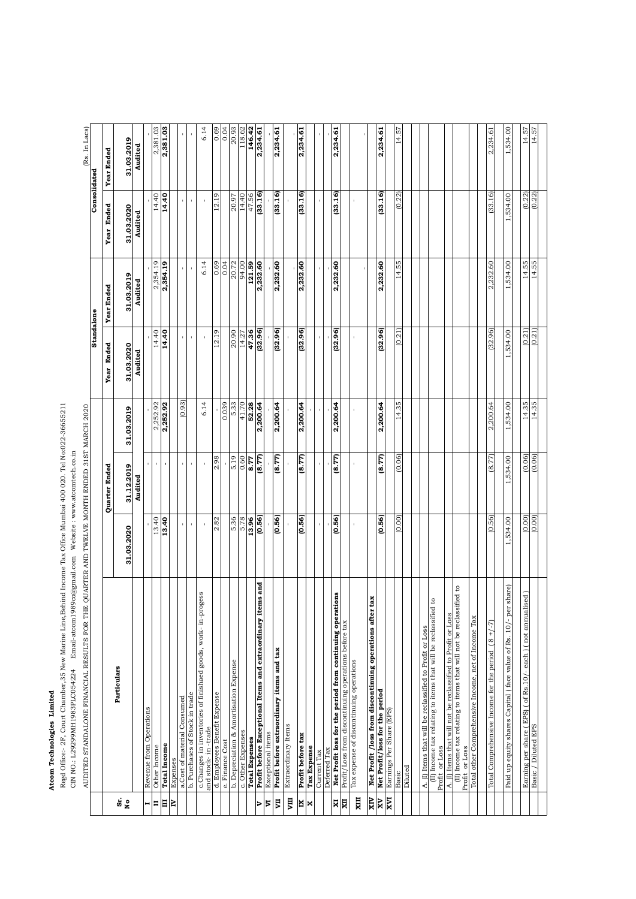# Atcom Technologies Limited Atcom Technologies Limited

Regd Office:- 2F, Court Chamber, 35 New Marine Line,Behind Income Tax Office Mumbai 400 020. Tel No:022-36655211<br>CIN NO.: L29299MH1983PLC054224 Email-atom1989co@gmail.com Website : www.atcomtech.co.in Regd Office:- 2F, Court Chamber,35 New Marine Line,Behind Income Tax Office Mumbai 400 020. Tel No:022-36655211 CIN NO.: L29299MH1983PLC054224 Email-atcom1989co@gmail.com Website : www.atcomtech.co.in

 AUDITED STANDALONE FINANCIAL RESULTS FOR THE QUARTER AND TWELVE MONTH ENDED 31ST MARCH 2020 (Rs. In Lacs) AUDITED STANDALONE FINANCIAL RESULTS FOR THE QUARTER AND TWELVE MONTH ENDED 31ST MARCH 2020

|                         | AUDITED STANDALONE FINANCIAL RESULTS FOR THE QUARTER AND TWELVE MONTH ENDED 31ST MARCH 2020 |                          |                |              |              |                       |              | (Rs. In Lacs) |
|-------------------------|---------------------------------------------------------------------------------------------|--------------------------|----------------|--------------|--------------|-----------------------|--------------|---------------|
|                         |                                                                                             |                          |                |              | Standalone   |                       | Consolidated |               |
|                         |                                                                                             |                          | Quarter Ended  |              | Year Ended   | <b>Year Ended</b>     | Year Ended   | Year Ended    |
| $\mathbf{\ddot{s}}$ .   | Particulars                                                                                 | 31.03.2020               | 31.12.2019     | 31.03.2019   | 31.03.2020   | 31.03.2019            | 31.03.2020   | 31.03.2019    |
|                         |                                                                                             |                          | Audited        |              | Audited      | Audited               | Audited      | Audited       |
|                         | Revenue from Operations                                                                     |                          | $\mathbf{r}$   |              |              |                       |              |               |
| $\blacksquare$          | Other Income                                                                                | 13.40                    | $\mathbf{I}$   | 2,252.92     | 14.40        | 2,354.19              | 14.40        | 2,381.03      |
| E                       | <b>Total Income</b>                                                                         | 13.40                    | $\blacksquare$ | 2,252.92     | 14.40        | 2,354.19              | 14.40        | 2,381.03      |
| E                       | Expenses                                                                                    |                          |                |              |              |                       |              |               |
|                         | a.Cost of material Consumed                                                                 | $\mathbf{I}$             | $\mathbf{I}$   | (0.93)       | $\mathbf{I}$ | $\mathbf{r}$          | $\mathbf{I}$ | $\mathbf{r}$  |
|                         | b. Purchases of Stock in trade                                                              | $\mathbf{I}$             | $\mathbf{I}$   |              | $\mathbf{I}$ | $\mathbf{I}$          | $\mathbf{I}$ | $\mathbf{r}$  |
|                         | SS<br>c.Changes in inventories of finishaed goods, work- in-proge<br>and stock- in -trade   |                          |                | 6.14         |              | 6.14                  |              | 6.14          |
|                         | d. Employees Benefit Expense                                                                | 2.82                     | 2.98           |              | 12.19        | 0.69                  | 12.19        | 0.69          |
|                         | e. Finance Cost                                                                             |                          |                | 0.039        |              | 0.04                  |              | 0.04          |
|                         | b. Depreciation & Amortisation Expense                                                      | 5.36                     | 5.19           | 5.33         | 20.90        | 20.72                 | 20.97        | 20.93         |
|                         | c. Other Expenses                                                                           | 5.78                     | 0.60           | 41.70        | 14.27        | 94.00                 | 14.40        | 118.62        |
|                         | <b>Total Expenses</b>                                                                       | 13.96                    | 8.77           | 52.28        | 47.36        | 121.59                | 47.56        | 146.42        |
| ⋗                       | and<br>Profit before Exceptional Items and extraordinary items                              | (0.56)                   | (8.77)         | 2,200.64     | (32.96)      | 2,232.60              | (33.16)      | 2,234.61      |
| 5                       | Exceptional items                                                                           |                          |                |              |              |                       |              |               |
| F                       | Profit before extraordinary items and tax                                                   | (0.56)                   | (8.77)         | 2,200.64     | (32.96)      | 2,232.60              | (33.16)      | 2,234.61      |
| Ę                       | Extraordinary Items                                                                         |                          |                |              |              |                       |              |               |
| K                       | Profit before tax                                                                           | (0.56)                   | (8.77)         | 2,200.64     | (32.96)      | 2,232.60              | [33.16]      | 2,234.61      |
| ×                       | Tax Expense                                                                                 |                          |                |              |              |                       |              |               |
|                         | Current Tax                                                                                 |                          |                | $\mathbf{I}$ |              | $\mathbf{I}$          |              | $\mathbf{I}$  |
|                         | Deferred Tax                                                                                |                          |                |              |              |                       |              |               |
| X                       | 23<br>Net Profit loss for the period from continuing operatio                               | (0.56)                   | (8.77)         | 2,200.64     | (32.96)      | 2,232.60              | (33.16)      | 2,234.61      |
| $\overline{\mathbf{H}}$ | Profit/Loss from discontinuing operations before tax                                        |                          |                |              |              |                       |              |               |
| XIII                    | Tax expense of discontinuing operations                                                     | $\mathbf{I}$             | $\mathbf{I}$   | $\mathbf{I}$ | $\mathbf{I}$ | $\mathbf{I}$          | $\mathbf{I}$ | $\mathbf{I}$  |
| $\overline{\mathbf{R}}$ | Net Profit /loss from discontinuing operations after tax                                    |                          |                |              |              |                       |              |               |
| $\mathbf{K}$            | Net Profit/loss for the period                                                              | (0.56)                   | (8.77)         | 2,200.64     | (32.96)      | 2,232.60              | (33.16)      | 2,234.61      |
| XVI                     | Earnings Per Share (EPS)                                                                    |                          |                |              |              |                       |              |               |
|                         | <b>Basic</b>                                                                                | (0.00)                   | (0.06)         | 14.35        | (0.21)       | 55<br>$\overline{14}$ | (0.22)       | 14.57         |
|                         | Diluted                                                                                     |                          |                |              |              |                       |              |               |
|                         | A. (I) Items that will be reclassified to Profit or Loss                                    |                          |                |              |              |                       |              |               |
|                         | (II) Income tax relating to items that will be reclassified to<br>Profit or Loss            |                          |                |              |              |                       |              |               |
|                         | A. (I) Items that will not be reclassified to Profit or Loss                                |                          |                |              |              |                       |              |               |
|                         | ed to<br>(II) Income tax relating to items that will not be reclassifie<br>Profit or Loss   |                          |                |              |              |                       |              |               |
|                         | Total other Comprehensive Income, net of Income Tax                                         |                          |                |              |              |                       |              |               |
|                         |                                                                                             |                          |                |              |              |                       |              |               |
|                         | Total Comprehensive Income for the period $(8 + / -7)$                                      | (0.56)                   | (8.77)         | 2,200.64     | (32.96)      | 2,232.60              | (33.16)      | 2,234.61      |
|                         | Paid up equity shares Capital (face value of Rs. 10/- per share)                            | 534.00<br>$\overline{ }$ | 534.00<br>⊣    | 1,534.00     | 534.00       | 1,534.00              | 1,534.00     | 1,534.00      |
|                         | Earning per share (EPS) (of Rs.10/-each) (not annualised)                                   | (0.00)                   | (0.06)         | 14.35        | (0.21)       | 14.55                 | (0.22)       | 14.57         |
|                         | Basic / Diluted EPS                                                                         | (0.00)                   | (0.06)         | 14.35        | (0.21)       | 14.55                 | (0.22)       | 14.57         |
|                         |                                                                                             |                          |                |              |              |                       |              |               |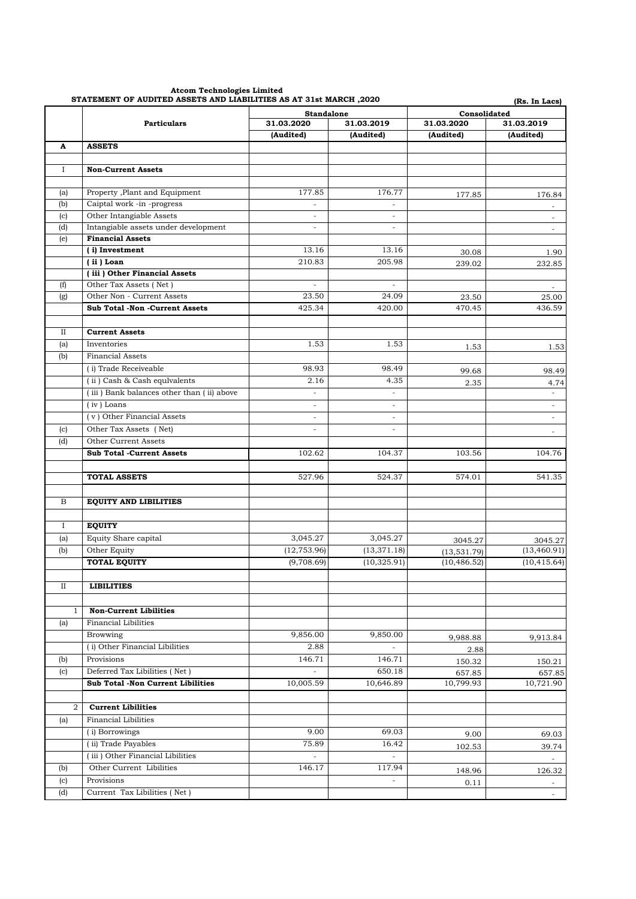|                | STATEMENT OF AUDITED ASSETS AND LIABILITIES AS AT 31st MARCH, 2020 |                              |                          |              | (Rs. In Lacs)            |
|----------------|--------------------------------------------------------------------|------------------------------|--------------------------|--------------|--------------------------|
|                |                                                                    | <b>Standalone</b>            |                          | Consolidated |                          |
|                | <b>Particulars</b>                                                 | 31.03.2020                   | 31.03.2019               | 31.03.2020   | 31.03.2019               |
|                |                                                                    | (Audited)                    | (Audited)                | (Audited)    | (Audited)                |
| A              | <b>ASSETS</b>                                                      |                              |                          |              |                          |
|                |                                                                    |                              |                          |              |                          |
| I              | <b>Non-Current Assets</b>                                          |                              |                          |              |                          |
|                |                                                                    |                              |                          |              |                          |
| (a)            | Property , Plant and Equipment                                     | 177.85                       | 176.77                   | 177.85       | 176.84                   |
| (b)            | Caiptal work -in -progress                                         | $\overline{a}$               |                          |              | $\overline{\phantom{a}}$ |
| (c)            | Other Intangiable Assets                                           | $\overline{\phantom{a}}$     | $\mathcal{L}$            |              | $\overline{\phantom{a}}$ |
| (d)            | Intangiable assets under development                               | $\qquad \qquad \blacksquare$ | $\overline{\phantom{a}}$ |              | $\overline{\phantom{a}}$ |
| (e)            | <b>Financial Assets</b>                                            |                              |                          |              |                          |
|                | (i) Investment                                                     | 13.16                        | 13.16                    | 30.08        | 1.90                     |
|                | (ii) Loan                                                          | 210.83                       | 205.98                   | 239.02       | 232.85                   |
|                | (iii) Other Financial Assets                                       |                              |                          |              |                          |
| (f)            | Other Tax Assets (Net)                                             | $\qquad \qquad \blacksquare$ |                          |              | $\sim$                   |
| (g)            | Other Non - Current Assets                                         | 23.50                        | 24.09                    | 23.50        | 25.00                    |
|                | Sub Total - Non - Current Assets                                   | 425.34                       | 420.00                   | 470.45       | 436.59                   |
| $\mathbf{I}$   | <b>Current Assets</b>                                              |                              |                          |              |                          |
|                |                                                                    |                              |                          |              |                          |
| (a)            | Inventories                                                        | 1.53                         | 1.53                     | 1.53         | 1.53                     |
| (b)            | <b>Financial Assets</b>                                            |                              |                          |              |                          |
|                | (i) Trade Receiveable                                              | 98.93                        | 98.49                    | 99.68        | 98.49                    |
|                | (ii) Cash & Cash equivalents                                       | 2.16                         | 4.35                     | 2.35         | 4.74                     |
|                | (iii) Bank balances other than (ii) above                          | $\overline{\phantom{a}}$     |                          |              | $\overline{\phantom{a}}$ |
|                | (iv) Loans                                                         | $\overline{\phantom{a}}$     | $\overline{a}$           |              | $\overline{\phantom{a}}$ |
|                | (v) Other Financial Assets                                         | $\overline{\phantom{a}}$     | $\overline{\phantom{a}}$ |              | $\overline{\phantom{a}}$ |
| (c)            | Other Tax Assets (Net)                                             | $\overline{\phantom{a}}$     | $\overline{\phantom{a}}$ |              | $\overline{a}$           |
| (d)            | Other Current Assets                                               |                              |                          |              |                          |
|                | <b>Sub Total -Current Assets</b>                                   | 102.62                       | 104.37                   | 103.56       | 104.76                   |
|                |                                                                    |                              |                          |              |                          |
|                | <b>TOTAL ASSETS</b>                                                | 527.96                       | 524.37                   | 574.01       | 541.35                   |
|                |                                                                    |                              |                          |              |                          |
| B              | <b>EQUITY AND LIBILITIES</b>                                       |                              |                          |              |                          |
|                |                                                                    |                              |                          |              |                          |
| $\mathbf I$    | <b>EQUITY</b>                                                      |                              |                          |              |                          |
| (a)            | Equity Share capital                                               | 3,045.27                     | 3,045.27                 | 3045.27      | 3045.27                  |
| (b)            | Other Equity                                                       | (12, 753.96)                 | (13, 371.18)             | (13, 531.79) | (13, 460.91)             |
|                | <b>TOTAL EQUITY</b>                                                | (9,708.69)                   | (10, 325.91)             | (10, 486.52) | (10, 415.64)             |
|                |                                                                    |                              |                          |              |                          |
| $\rm II$       | <b>LIBILITIES</b>                                                  |                              |                          |              |                          |
| $\mathbf{1}$   | <b>Non-Current Libilities</b>                                      |                              |                          |              |                          |
| (a)            | <b>Financial Libilities</b>                                        |                              |                          |              |                          |
|                | <b>Browwing</b>                                                    | 9,856.00                     | 9,850.00                 |              |                          |
|                | (i) Other Financial Libilities                                     | 2.88                         |                          | 9,988.88     | 9,913.84                 |
|                | Provisions                                                         | 146.71                       | 146.71                   | 2.88         |                          |
| (b)            |                                                                    |                              |                          | 150.32       | 150.21                   |
| (c)            | Deferred Tax Libilities (Net)                                      |                              | 650.18                   | 657.85       | 657.85                   |
|                | Sub Total -Non Current Libilities                                  | 10,005.59                    | 10,646.89                | 10,799.93    | 10,721.90                |
| $\overline{2}$ | <b>Current Libilities</b>                                          |                              |                          |              |                          |
|                | <b>Financial Libilities</b>                                        |                              |                          |              |                          |
| (a)            |                                                                    | 9.00                         | 69.03                    |              |                          |
|                | (i) Borrowings                                                     |                              |                          | 9.00         | 69.03                    |
|                | (ii) Trade Payables                                                | 75.89                        | 16.42                    | 102.53       | 39.74                    |
|                | (iii) Other Financial Libilities                                   |                              |                          |              |                          |
| (b)            | Other Current Libilities                                           | 146.17                       | 117.94                   | 148.96       | 126.32                   |
| (c)            | Provisions                                                         |                              |                          | 0.11         |                          |
| (d)            | Current Tax Libilities (Net)                                       |                              |                          |              |                          |

Atcom Technologies Limited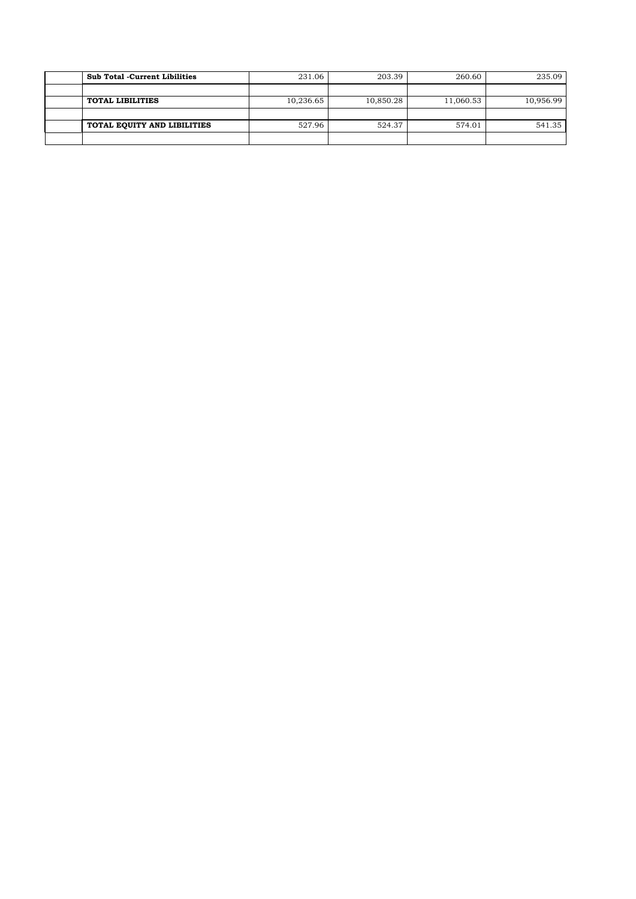| <b>Sub Total - Current Libilities</b> | 231.06    | 203.39    | 260.60    | 235.09    |
|---------------------------------------|-----------|-----------|-----------|-----------|
|                                       |           |           |           |           |
| <b>TOTAL LIBILITIES</b>               | 10,236.65 | 10,850.28 | 11,060.53 | 10,956.99 |
|                                       |           |           |           |           |
| TOTAL EQUITY AND LIBILITIES           | 527.96    | 524.37    | 574.01    | 541.35    |
|                                       |           |           |           |           |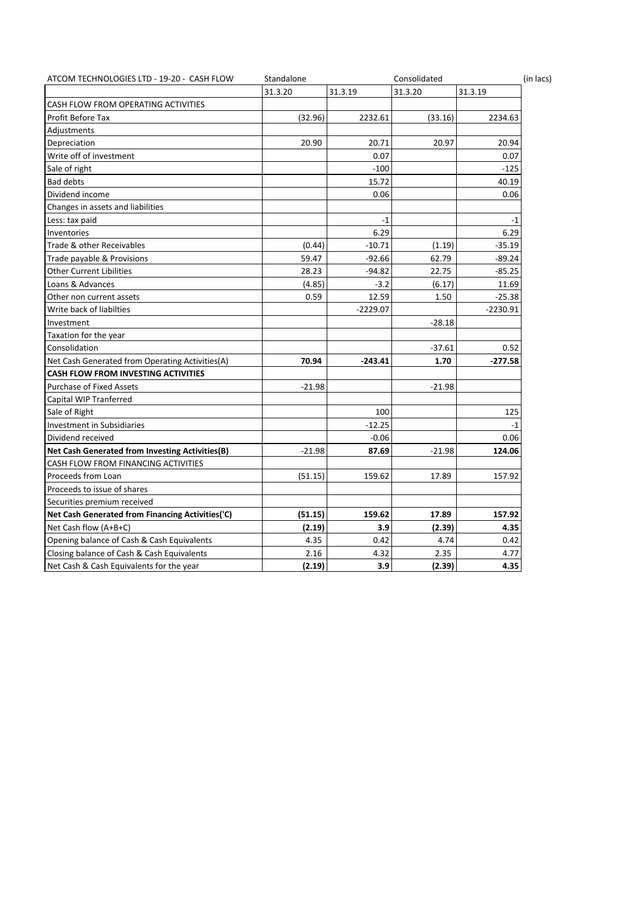| Standalone |            | Consolidated                                                   |            | (in lacs)                   |
|------------|------------|----------------------------------------------------------------|------------|-----------------------------|
| 31.3.20    | 31.3.19    | 31.3.20                                                        | 31.3.19    |                             |
|            |            |                                                                |            |                             |
| (32.96)    | 2232.61    |                                                                | 2234.63    |                             |
|            |            |                                                                |            |                             |
| 20.90      | 20.71      | 20.97                                                          | 20.94      |                             |
|            | 0.07       |                                                                | 0.07       |                             |
|            | $-100$     |                                                                | $-125$     |                             |
|            | 15.72      |                                                                | 40.19      |                             |
|            | 0.06       |                                                                | 0.06       |                             |
|            |            |                                                                |            |                             |
|            | $-1$       |                                                                | $-1$       |                             |
|            | 6.29       |                                                                | 6.29       |                             |
| (0.44)     | $-10.71$   | (1.19)                                                         | $-35.19$   |                             |
| 59.47      |            | 62.79                                                          | $-89.24$   |                             |
| 28.23      | $-94.82$   | 22.75                                                          | $-85.25$   |                             |
| (4.85)     |            | (6.17)                                                         | 11.69      |                             |
| 0.59       |            | 1.50                                                           | $-25.38$   |                             |
|            | $-2229.07$ |                                                                | $-2230.91$ |                             |
|            |            | $-28.18$                                                       |            |                             |
|            |            |                                                                |            |                             |
|            |            | $-37.61$                                                       | 0.52       |                             |
| 70.94      | $-243.41$  | 1.70                                                           | $-277.58$  |                             |
|            |            |                                                                |            |                             |
| $-21.98$   |            | $-21.98$                                                       |            |                             |
|            |            |                                                                |            |                             |
|            | 100        |                                                                | 125        |                             |
|            | $-12.25$   |                                                                | $-1$       |                             |
|            |            |                                                                | 0.06       |                             |
| $-21.98$   |            |                                                                | 124.06     |                             |
|            |            |                                                                |            |                             |
| (51.15)    | 159.62     | 17.89                                                          | 157.92     |                             |
|            |            |                                                                |            |                             |
|            |            |                                                                |            |                             |
| (51.15)    |            | 17.89                                                          | 157.92     |                             |
| (2.19)     |            | (2.39)                                                         | 4.35       |                             |
| 4.35       | 0.42       |                                                                | 0.42       |                             |
| 2.16       | 4.32       | 2.35                                                           | 4.77       |                             |
| (2.19)     |            | (2.39)                                                         | 4.35       |                             |
|            |            | $-92.66$<br>$-3.2$<br>$-0.06$<br>87.69<br>159.62<br>3.9<br>3.9 | 12.59      | (33.16)<br>$-21.98$<br>4.74 |